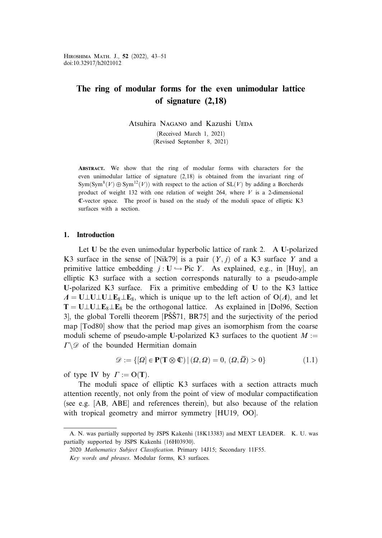# The ring of modular forms for the even unimodular lattice of signature (2,18)

Atsuhira Nagano and Kazushi UEDA (Received March 1, 2021) (Revised September 8, 2021)

Abstract. We show that the ring of modular forms with characters for the even unimodular lattice of signature (2,18) is obtained from the invariant ring of  $Sym(Sym^{8}(V) \oplus Sym^{12}(V))$  with respect to the action of  $SL(V)$  by adding a Borcherds product of weight 132 with one relation of weight 264, where  $V$  is a 2-dimensional C-vector space. The proof is based on the study of the moduli space of elliptic K3 surfaces with a section.

# 1. Introduction

Let U be the even unimodular hyperbolic lattice of rank 2. A U-polarized K3 surface in the sense of [Nik79] is a pair  $(Y, j)$  of a K3 surface Y and a primitive lattice embedding  $j: U \hookrightarrow Pic Y$ . As explained, e.g., in [Huy], an elliptic K3 surface with a section corresponds naturally to a pseudo-ample U-polarized K3 surface. Fix a primitive embedding of U to the K3 lattice  $\Lambda = U \perp U \perp U \perp E_8 \perp E_8$ , which is unique up to the left action of O( $\Lambda$ ), and let  $T = U \perp U \perp E_8 \perp E_8$  be the orthogonal lattice. As explained in [Dol96, Section 3], the global Torelli theorem [PSS71, BR75] and the surjectivity of the period map [Tod80] show that the period map gives an isomorphism from the coarse moduli scheme of pseudo-ample U-polarized K3 surfaces to the quotient  $M :=$  $\Gamma \backslash \mathscr{D}$  of the bounded Hermitian domain

$$
\mathcal{D} := \{ [\Omega] \in \mathbf{P}(\mathbf{T} \otimes \mathbb{C}) \mid (\Omega, \Omega) = 0, \, (\Omega, \overline{\Omega}) > 0 \} \tag{1.1}
$$

of type IV by  $\Gamma := O(T)$ .

The moduli space of elliptic K3 surfaces with a section attracts much attention recently, not only from the point of view of modular compactification (see e.g. [AB, ABE] and references therein), but also because of the relation with tropical geometry and mirror symmetry [HU19, OO].

A. N. was partially supported by JSPS Kakenhi (18K13383) and MEXT LEADER. K. U. was partially supported by JSPS Kakenhi (16H03930).

<sup>2020</sup> Mathematics Subject Classification. Primary 14J15; Secondary 11F55.

Key words and phrases. Modular forms, K3 surfaces.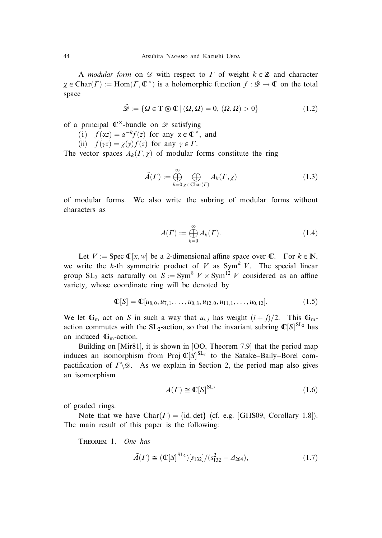A *modular form* on  $\mathscr D$  with respect to  $\Gamma$  of weight  $k \in \mathbb Z$  and character  $\chi \in \text{Char}(\Gamma) := \text{Hom}(\Gamma, \mathbb{C}^{\times})$  is a holomorphic function  $f : \tilde{\mathscr{D}} \to \mathbb{C}$  on the total space

$$
\tilde{\mathcal{D}} := \{ \Omega \in \mathbf{T} \otimes \mathbb{C} \mid (\Omega, \Omega) = 0, \, (\Omega, \overline{\Omega}) > 0 \} \tag{1.2}
$$

of a principal  $\mathbb{C}^{\times}$ -bundle on  $\mathscr{D}$  satisfying

- (i)  $f(\alpha z) = \alpha^{-k} f(z)$  for any  $\alpha \in \mathbb{C}^{\times}$ , and
- (ii)  $f(\gamma z) = \chi(\gamma) f(z)$  for any  $\gamma \in \Gamma$ .

The vector spaces  $A_k(\Gamma, \chi)$  of modular forms constitute the ring

$$
\tilde{A}(\Gamma) := \bigoplus_{k=0}^{\infty} \bigoplus_{\chi \in \text{Char}(\Gamma)} A_k(\Gamma, \chi)
$$
\n(1.3)

of modular forms. We also write the subring of modular forms without characters as

$$
A(\Gamma) := \bigoplus_{k=0}^{\infty} A_k(\Gamma). \tag{1.4}
$$

Let  $V := \text{Spec } \mathbb{C}[x, w]$  be a 2-dimensional affine space over  $\mathbb{C}$ . For  $k \in \mathbb{N}$ , we write the k-th symmetric product of V as  $\text{Sym}^k V$ . The special linear group SL<sub>2</sub> acts naturally on  $S := \text{Sym}^8 V \times \text{Sym}^{12} V$  considered as an affine variety, whose coordinate ring will be denoted by

$$
\mathbb{C}[S] = \mathbb{C}[u_{8,0}, u_{7,1}, \dots, u_{0,8}, u_{12,0}, u_{11,1}, \dots, u_{0,12}]. \tag{1.5}
$$

We let  $\mathbb{G}_m$  act on S in such a way that  $u_{i,j}$  has weight  $(i+j)/2$ . This  $\mathbb{G}_m$ action commutes with the SL<sub>2</sub>-action, so that the invariant subring  $\mathbb{C}[S]^{\text{SL}_2}$  has an induced  $\mathbb{G}_m$ -action.

Building on [Mir81], it is shown in [OO, Theorem 7.9] that the period map induces an isomorphism from Proj  $\mathbb{C}[S]^{SL_2}$  to the Satake–Baily–Borel compactification of  $\Gamma \backslash \mathcal{D}$ . As we explain in Section 2, the period map also gives an isomorphism

$$
A(\Gamma) \cong \mathbb{C}[S]^{\operatorname{SL}_2} \tag{1.6}
$$

of graded rings.

Note that we have  $Char(\Gamma) = \{id, det\}$  (cf. e.g. [GHS09, Corollary 1.8]). The main result of this paper is the following:

Theorem 1. One has

$$
\tilde{A}(\Gamma) \cong (\mathbb{C}[S]^{\text{SL}_2})[s_{132}]/(s_{132}^2 - A_{264}), \tag{1.7}
$$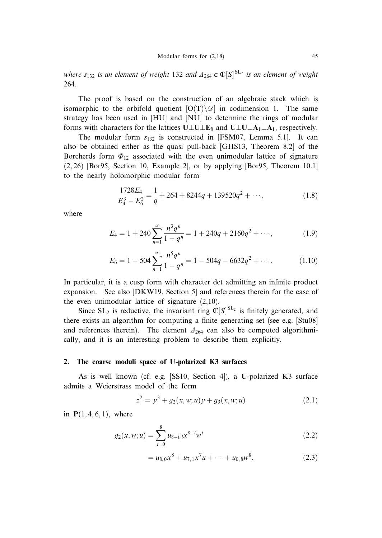where  $s_{132}$  is an element of weight 132 and  $\Lambda_{264} \in \mathbb{C}[\mathcal{S}]^{\mathrm{SL}_2}$  is an element of weight 264.

The proof is based on the construction of an algebraic stack which is isomorphic to the orbifold quotient  $[O(T)\setminus\mathscr{D}]$  in codimension 1. The same strategy has been used in [HU] and [NU] to determine the rings of modular forms with characters for the lattices  $U \perp U \perp E_8$  and  $U \perp U \perp A_1 \perp A_1$ , respectively.

The modular form  $s_{132}$  is constructed in [FSM07, Lemma 5.1]. It can also be obtained either as the quasi pull-back [GHS13, Theorem 8.2] of the Borcherds form  $\Phi_{12}$  associated with the even unimodular lattice of signature  $(2, 26)$  [Bor95, Section 10, Example 2], or by applying [Bor95, Theorem 10.1] to the nearly holomorphic modular form

$$
\frac{1728E_4}{E_4^3 - E_6^2} = \frac{1}{q} + 264 + 8244q + 139520q^2 + \cdots,
$$
\n(1.8)

where

$$
E_4 = 1 + 240 \sum_{n=1}^{\infty} \frac{n^3 q^n}{1 - q^n} = 1 + 240q + 2160q^2 + \cdots,
$$
 (1.9)

$$
E_6 = 1 - 504 \sum_{n=1}^{\infty} \frac{n^5 q^n}{1 - q^n} = 1 - 504q - 6632q^2 + \cdots
$$
 (1.10)

In particular, it is a cusp form with character det admitting an infinite product expansion. See also [DKW19, Section 5] and references therein for the case of the even unimodular lattice of signature (2,10).

Since  $SL_2$  is reductive, the invariant ring  $\mathbb{C}[S]^{SL_2}$  is finitely generated, and there exists an algorithm for computing a finite generating set (see e.g. [Stu08] and references therein). The element  $\Delta_{264}$  can also be computed algorithmically, and it is an interesting problem to describe them explicitly.

#### 2. The coarse moduli space of U-polarized K3 surfaces

As is well known (cf. e.g. [SS10, Section 4]), a U-polarized K3 surface admits a Weierstrass model of the form

$$
z^{2} = y^{3} + g_{2}(x, w; u)y + g_{3}(x, w; u)
$$
\n(2.1)

in  $P(1, 4, 6, 1)$ , where

$$
g_2(x, w; u) = \sum_{i=0}^{8} u_{8-i, i} x^{8-i} w^i
$$
 (2.2)

$$
= u_{8,0}x^8 + u_{7,1}x^7u + \dots + u_{0,8}w^8, \tag{2.3}
$$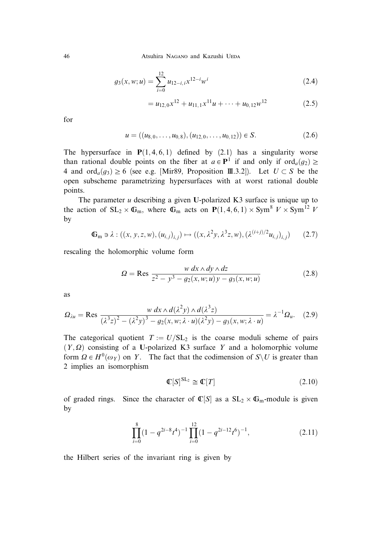46 Atsuhira Nagano and Kazushi UEDA

$$
g_3(x, w; u) = \sum_{i=0}^{12} u_{12-i,i} x^{12-i} w^i
$$
 (2.4)

$$
=u_{12,0}x^{12}+u_{11,1}x^{11}u+\cdots+u_{0,12}w^{12}
$$
 (2.5)

for

$$
u = ((u_{8,0}, \dots, u_{0,8}), (u_{12,0}, \dots, u_{0,12})) \in S.
$$
 (2.6)

The hypersurface in  $P(1, 4, 6, 1)$  defined by (2.1) has a singularity worse than rational double points on the fiber at  $a \in \mathbf{P}^1$  if and only if  $\text{ord}_a(q_2) \geq$ 4 and  $\text{ord}_a(g_3) \ge 6$  (see e.g. [Mir89, Proposition III.3.2]). Let  $U \subset S$  be the open subscheme parametrizing hypersurfaces with at worst rational double points.

The parameter  $u$  describing a given U-polarized K3 surface is unique up to the action of  $SL_2 \times \mathbb{G}_m$ , where  $\mathbb{G}_m$  acts on  $P(1,4,6,1) \times Sym^8$   $V \times Sym^{12}$  V by

$$
\mathbb{G}_{m} \ni \lambda : ((x, y, z, w), (u_{i,j})_{i,j}) \mapsto ((x, \lambda^2 y, \lambda^3 z, w), (\lambda^{(i+j)/2} u_{i,j})_{i,j}) \qquad (2.7)
$$

rescaling the holomorphic volume form

$$
\Omega = \text{Res}_{Z^2 - y^3 - g_2(x, w; u)y - g_3(x, w; u)}
$$
(2.8)

as

$$
\Omega_{\lambda u} = \text{Res} \frac{w \, dx \wedge d(\lambda^2 y) \wedge d(\lambda^3 z)}{(\lambda^3 z)^2 - (\lambda^2 y)^3 - g_2(x, w; \lambda \cdot u)(\lambda^2 y) - g_3(x, w; \lambda \cdot u)} = \lambda^{-1} \Omega_u. \tag{2.9}
$$

The categorical quotient  $T := U / SL_2$  is the coarse moduli scheme of pairs  $(Y, \Omega)$  consisting of a U-polarized K3 surface Y and a holomorphic volume form  $\Omega \in H^0(\omega_Y)$  on Y. The fact that the codimension of  $S \setminus U$  is greater than 2 implies an isomorphism

$$
\mathbb{C}[S]^{\operatorname{SL}_2} \cong \mathbb{C}[T] \tag{2.10}
$$

of graded rings. Since the character of  $\mathbb{C}[S]$  as a  $SL_2 \times \mathbb{G}_m$ -module is given by

$$
\prod_{i=0}^{8} (1 - q^{2i-8} t^4)^{-1} \prod_{i=0}^{12} (1 - q^{2i-12} t^6)^{-1}, \tag{2.11}
$$

the Hilbert series of the invariant ring is given by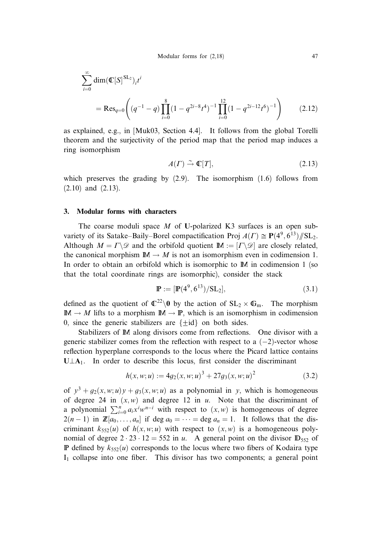$$
\sum_{i=0}^{\infty} \dim(\mathbb{C}[S]^{SL_2})_i t^i
$$
  
= Res<sub>q=0</sub> $\left( (q^{-1} - q) \prod_{i=0}^8 (1 - q^{2i-8} t^4)^{-1} \prod_{i=0}^{12} (1 - q^{2i-12} t^6)^{-1} \right)$  (2.12)

as explained, e.g., in [Muk03, Section 4.4]. It follows from the global Torelli theorem and the surjectivity of the period map that the period map induces a ring isomorphism

$$
A(\Gamma) \stackrel{\sim}{\to} \mathbb{C}[T],\tag{2.13}
$$

which preserves the grading by  $(2.9)$ . The isomorphism  $(1.6)$  follows from (2.10) and (2.13).

### 3. Modular forms with characters

The coarse moduli space  $M$  of U-polarized K3 surfaces is an open subvariety of its Satake–Baily–Borel compactification Proj  $A(\Gamma) \cong P(4^9, 6^{13})/S\mathbb{L}_2$ . Although  $M = \Gamma \backslash \mathcal{D}$  and the orbifold quotient  $\mathbb{M} := [\Gamma \backslash \mathcal{D}]$  are closely related, the canonical morphism  $\mathbb{M} \to M$  is not an isomorphism even in codimension 1. In order to obtain an orbifold which is isomorphic to M in codimension 1 (so that the total coordinate rings are isomorphic), consider the stack

$$
\mathbb{P} := [\mathbb{P}(4^9, 6^{13}) / SL_2],\tag{3.1}
$$

defined as the quotient of  $\mathbb{C}^{22}\setminus 0$  by the action of  $SL_2 \times \mathbb{G}_m$ . The morphism  $\mathbb{M} \to M$  lifts to a morphism  $\mathbb{M} \to \mathbb{P}$ , which is an isomorphism in codimension 0, since the generic stabilizers are  $\{\pm id\}$  on both sides.

Stabilizers of M along divisors come from reflections. One divisor with a generic stabilizer comes from the reflection with respect to a  $(-2)$ -vector whose reflection hyperplane corresponds to the locus where the Picard lattice contains  $U \perp A_1$ . In order to describe this locus, first consider the discriminant

$$
h(x, w; u) := 4g_2(x, w; u)^3 + 27g_3(x, w; u)^2
$$
\n(3.2)

of  $y^3 + g_2(x, w; u)y + g_3(x, w; u)$  as a polynomial in y, which is homogeneous of degree 24 in  $(x, w)$  and degree 12 in u. Note that the discriminant of a polynomial  $\sum_{i=0}^{n} a_i x^i w^{n-i}$  with respect to  $(x, w)$  is homogeneous of degree  $2(n-1)$  in  $\mathbb{Z}[a_0,\ldots,a_n]$  if deg  $a_0=\cdots=\deg a_n=1$ . It follows that the discriminant  $k_{552}(u)$  of  $h(x, w; u)$  with respect to  $(x, w)$  is a homogeneous polynomial of degree  $2 \cdot 23 \cdot 12 = 552$  in u. A general point on the divisor  $\mathbb{D}_{552}$  of **P** defined by  $k_{552}(u)$  corresponds to the locus where two fibers of Kodaira type  $I_1$  collapse into one fiber. This divisor has two components; a general point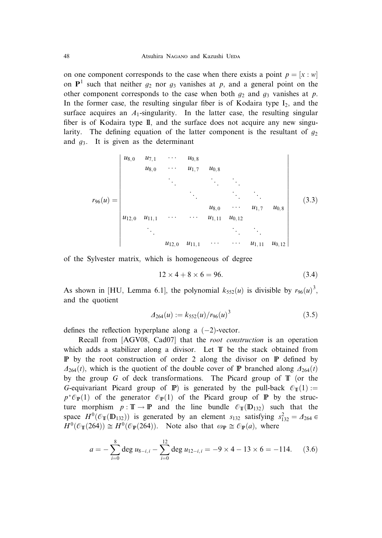on one component corresponds to the case when there exists a point  $p = [x : w]$ on  $P<sup>1</sup>$  such that neither  $q_2$  nor  $q_3$  vanishes at p, and a general point on the other component corresponds to the case when both  $g_2$  and  $g_3$  vanishes at p. In the former case, the resulting singular fiber is of Kodaira type  $I_2$ , and the surface acquires an  $A_1$ -singularity. In the latter case, the resulting singular fiber is of Kodaira type II, and the surface does not acquire any new singularity. The defining equation of the latter component is the resultant of  $g_2$ and  $g_3$ . It is given as the determinant

$$
r_{96}(u) = \begin{vmatrix} u_{8,0} & u_{7,1} & \cdots & u_{0,8} \\ u_{8,0} & \cdots & u_{1,7} & u_{0,8} \\ & & \ddots & & \ddots & \ddots \\ & & & & u_{8,0} & \cdots & u_{1,7} & u_{0,8} \\ & & & & u_{8,0} & \cdots & u_{1,7} & u_{0,8} \\ & & & & & u_{12,0} & u_{11,1} & \cdots & \cdots & u_{1,11} & u_{0,12} \\ & & & & & & \ddots & \ddots \\ & & & & & & & & u_{1,11} & u_{0,12} \end{vmatrix}
$$
 (3.3)

of the Sylvester matrix, which is homogeneous of degree

$$
12 \times 4 + 8 \times 6 = 96. \tag{3.4}
$$

As shown in [HU, Lemma 6.1], the polynomial  $k_{552}(u)$  is divisible by  $r_{96}(u)^3$ , and the quotient

$$
\Delta_{264}(u) := k_{552}(u) / r_{96}(u)^3 \tag{3.5}
$$

defines the reflection hyperplane along a  $(-2)$ -vector.

Recall from [AGV08, Cad07] that the root construction is an operation which adds a stabilizer along a divisor. Let T be the stack obtained from P by the root construction of order 2 along the divisor on P defined by  $\Delta_{264}(t)$ , which is the quotient of the double cover of P branched along  $\Delta_{264}(t)$ by the group G of deck transformations. The Picard group of  $\mathbb T$  (or the G-equivariant Picard group of P) is generated by the pull-back  $\mathcal{O}_{T}(1) :=$  $p^* \mathcal{O}_P(1)$  of the generator  $\mathcal{O}_P(1)$  of the Picard group of P by the structure morphism  $p : \mathbb{T} \to \mathbb{P}$  and the line bundle  $\mathcal{O}_{\mathbb{T}}(\mathbb{D}_{132})$  such that the space  $H^0(\mathcal{O}_{\mathbb{T}}(\mathbb{D}_{132}))$  is generated by an element  $s_{132}$  satisfying  $s_{132}^2 = \Delta_{264} \in$  $H^0(\mathcal{O}_{\mathbb{T}}(264)) \cong H^0(\mathcal{O}_{\mathbb{P}}(264))$ . Note also that  $\omega_{\mathbb{P}} \cong \mathcal{O}_{\mathbb{P}}(a)$ , where

$$
a = -\sum_{i=0}^{8} \deg u_{8-i,i} - \sum_{i=0}^{12} \deg u_{12-i,i} = -9 \times 4 - 13 \times 6 = -114. \tag{3.6}
$$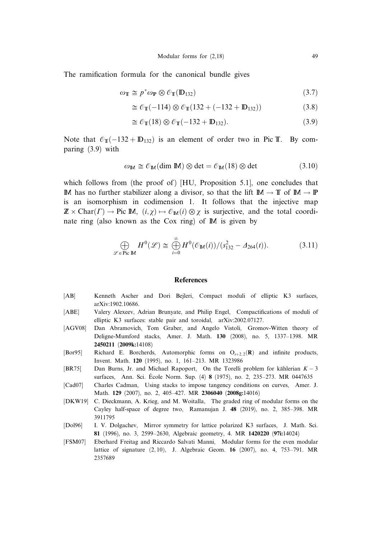The ramification formula for the canonical bundle gives

$$
\omega_{\mathbb{T}} \cong p^* \omega_{\mathbb{P}} \otimes \mathcal{O}_{\mathbb{T}}(\mathbb{D}_{132}) \tag{3.7}
$$

$$
\cong \mathcal{O}_{\mathbb{T}}(-114) \otimes \mathcal{O}_{\mathbb{T}}(132 + (-132 + \mathbb{D}_{132})) \tag{3.8}
$$

$$
\cong \mathcal{O}_{\mathbb{T}}(18) \otimes \mathcal{O}_{\mathbb{T}}(-132 + \mathbb{D}_{132}). \tag{3.9}
$$

Note that  $\mathcal{O}_{\mathbb{T}}(-132 + D_{132})$  is an element of order two in Pic T. By comparing (3.9) with

$$
\omega_{\mathbb{M}} \cong \mathcal{O}_{\mathbb{M}}(\text{dim }\mathbb{M}) \otimes \text{det} = \mathcal{O}_{\mathbb{M}}(18) \otimes \text{det}
$$
 (3.10)

which follows from (the proof of)  $[HU, P$ roposition 5.1. one concludes that M has no further stabilizer along a divisor, so that the lift  $\mathbb{M} \to \mathbb{T}$  of  $\mathbb{M} \to \mathbb{P}$ is an isomorphism in codimension 1. It follows that the injective map  $\mathbb{Z} \times \text{Char}(\Gamma) \to \text{Pic } \mathbb{M}, \ (i, \chi) \mapsto \mathcal{O}_{\mathbb{M}}(i) \otimes \chi$  is surjective, and the total coordinate ring (also known as the Cox ring) of M is given by

$$
\bigoplus_{\mathscr{L}\in\text{Pic}\,\mathbb{M}}H^0(\mathscr{L})\cong\bigoplus_{i=0}^{\infty}H^0(\mathscr{O}_{\mathbb{M}}(i))/(s_{132}^2-\Delta_{264}(t)).\tag{3.11}
$$

## **References**

- [AB] Kenneth Ascher and Dori Bejleri, Compact moduli of elliptic K3 surfaces, arXiv:1902.10686.
- [ABE] Valery Alexeev, Adrian Brunyate, and Philip Engel, Compactifications of moduli of elliptic K3 surfaces: stable pair and toroidal, arXiv:2002.07127.
- [AGV08] Dan Abramovich, Tom Graber, and Angelo Vistoli, Gromov-Witten theory of Deligne-Mumford stacks, Amer. J. Math. 130 (2008), no. 5, 1337–1398. MR 2450211 (2009k:14108)
- [Bor95] Richard E. Borcherds, Automorphic forms on  $O_{s+2,2}(R)$  and infinite products, Invent. Math. 120 (1995), no. 1, 161–213. MR 1323986
- [BR75] Dan Burns, Jr. and Michael Rapoport, On the Torelli problem for kählerian  $K 3$ surfaces, Ann. Sci. École Norm. Sup. (4) 8 (1975), no. 2, 235–273. MR 0447635
- [Cad07] Charles Cadman, Using stacks to impose tangency conditions on curves, Amer. J. Math. 129 (2007), no. 2, 405–427. MR 2306040 (2008g:14016)
- [DKW19] C. Dieckmann, A. Krieg, and M. Woitalla, The graded ring of modular forms on the Cayley half-space of degree two, Ramanujan J. 48 (2019), no. 2, 385–398. MR 3911795
- [Dol96] I. V. Dolgachev, Mirror symmetry for lattice polarized K3 surfaces, J. Math. Sci. 81 (1996), no. 3, 2599–2630, Algebraic geometry, 4. MR 1420220 (97i:14024)
- [FSM07] Eberhard Freitag and Riccardo Salvati Manni, Modular forms for the even modular lattice of signature  $(2, 10)$ , J. Algebraic Geom. 16  $(2007)$ , no. 4, 753–791. MR 2357689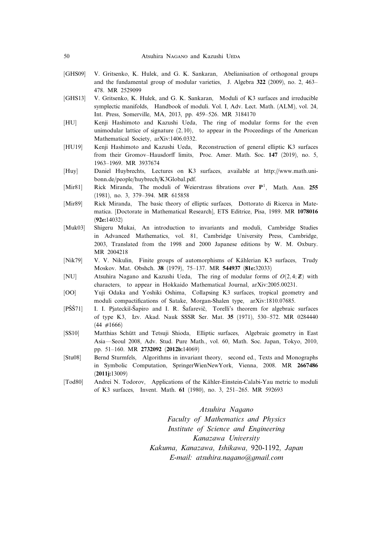- [GHS09] V. Gritsenko, K. Hulek, and G. K. Sankaran, Abelianisation of orthogonal groups and the fundamental group of modular varieties, J. Algebra 322 (2009), no. 2, 463– 478. MR 2529099
- [GHS13] V. Gritsenko, K. Hulek, and G. K. Sankaran, Moduli of K3 surfaces and irreducible symplectic manifolds, Handbook of moduli. Vol. I, Adv. Lect. Math. (ALM), vol. 24, Int. Press, Somerville, MA, 2013, pp. 459–526. MR 3184170
- [HU] Kenji Hashimoto and Kazushi Ueda, The ring of modular forms for the even unimodular lattice of signature  $(2, 10)$ , to appear in the Proceedings of the American Mathematical Society, arXiv:1406.0332.
- [HU19] Kenji Hashimoto and Kazushi Ueda, Reconstruction of general elliptic K3 surfaces from their Gromov–Hausdorff limits, Proc. Amer. Math. Soc. 147 (2019), no. 5, 1963–1969. MR 3937674
- [Huy] Daniel Huybrechts, Lectures on K3 surfaces, available at http://www.math.unibonn.de/people/huybrech/K3Global.pdf.
- [Mir81] Rick Miranda, The moduli of Weierstrass fibrations over  $P<sup>1</sup>$ , Math. Ann. 255 (1981), no. 3, 379–394. MR 615858
- [Mir89] Rick Miranda, The basic theory of elliptic surfaces, Dottorato di Ricerca in Matematica. [Doctorate in Mathematical Research], ETS Editrice, Pisa, 1989. MR 1078016 (92e:14032)
- [Muk03] Shigeru Mukai, An introduction to invariants and moduli, Cambridge Studies in Advanced Mathematics, vol. 81, Cambridge University Press, Cambridge, 2003, Translated from the 1998 and 2000 Japanese editions by W. M. Oxbury. MR 2004218
- [Nik79] V. V. Nikulin, Finite groups of automorphisms of Kählerian K3 surfaces, Trudy Moskov. Mat. Obshch. 38 (1979), 75–137. MR 544937 (81e:32033)
- [NU] Atsuhira Nagano and Kazushi Ueda, The ring of modular forms of  $O(2, 4; \mathbb{Z})$  with characters, to appear in Hokkaido Mathematical Journal, arXiv:2005.00231.
- [OO] Yuji Odaka and Yoshiki Oshima, Collapsing K3 surfaces, tropical geometry and moduli compactifications of Satake, Morgan-Shalen type, arXiv:1810.07685.
- [PŠŠ71] I. I. Pjateckii-Šapiro and I. R. Šafarevič, Torelli's theorem for algebraic surfaces of type K3, Izv. Akad. Nauk SSSR Ser. Mat. 35 (1971), 530–572. MR 0284440  $(44 \neq 1666)$
- [SS10] Matthias Schütt and Tetsuji Shioda, Elliptic surfaces, Algebraic geometry in East Asia—Seoul 2008, Adv. Stud. Pure Math., vol. 60, Math. Soc. Japan, Tokyo, 2010, pp. 51–160. MR 2732092 (2012b:14069)
- [Stu08] Bernd Sturmfels, Algorithms in invariant theory, second ed., Texts and Monographs in Symbolic Computation, SpringerWienNewYork, Vienna, 2008. MR 2667486 (2011j:13009)
- [Tod80] Andrei N. Todorov, Applications of the Kähler-Einstein-Calabi-Yau metric to moduli of K3 surfaces, Invent. Math. 61 (1980), no. 3, 251–265. MR 592693

Atsuhira Nagano Faculty of Mathematics and Physics Institute of Science and Engineering Kanazawa University Kakuma, Kanazawa, Ishikawa, 920-1192, Japan E-mail: atsuhira.nagano@gmail.com